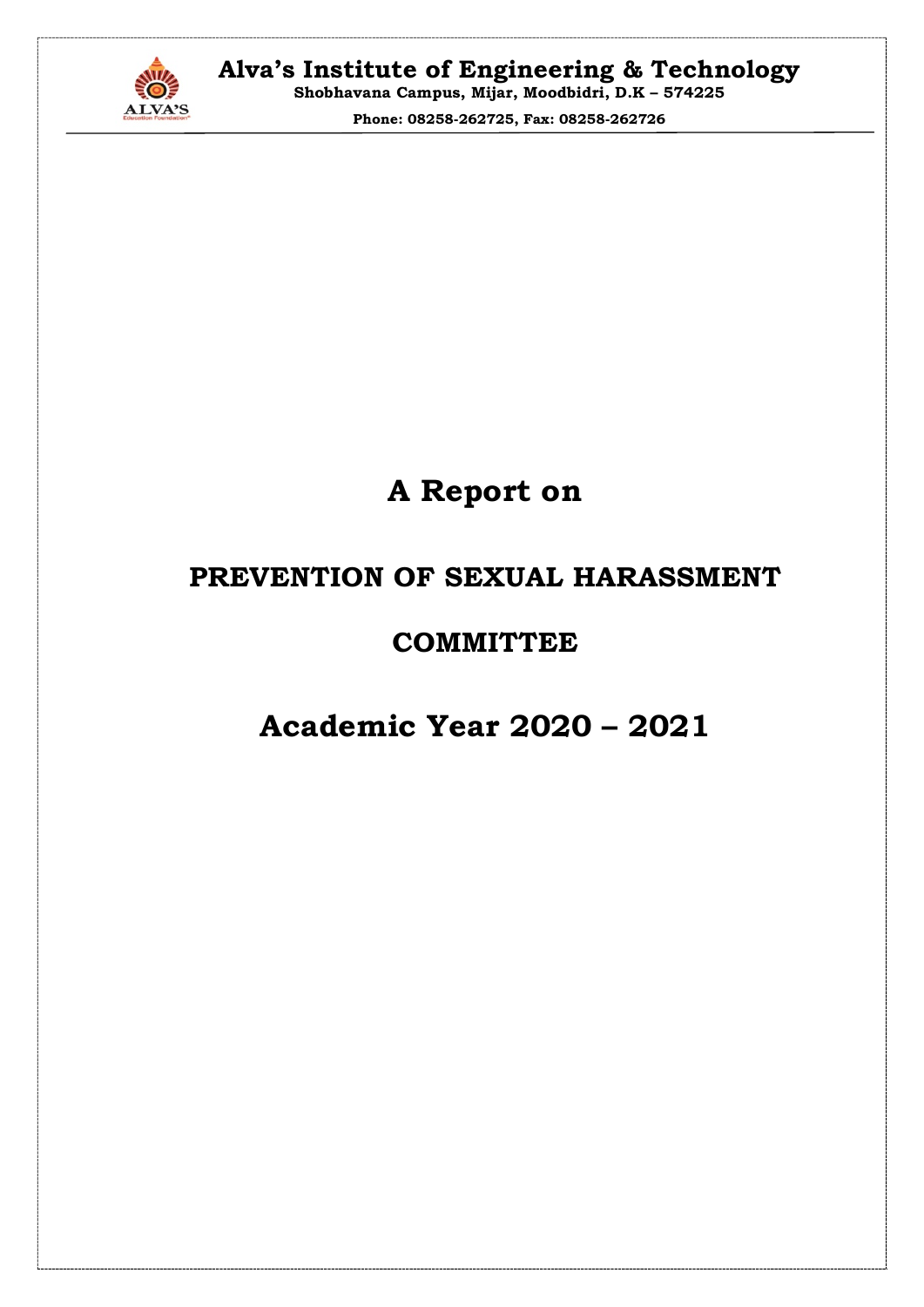

Phone: 08258-262725, Fax: 08258-262726

# A Report on

### PREVENTION OF SEXUAL HARASSMENT

### **COMMITTEE**

## Academic Year 2020 – 2021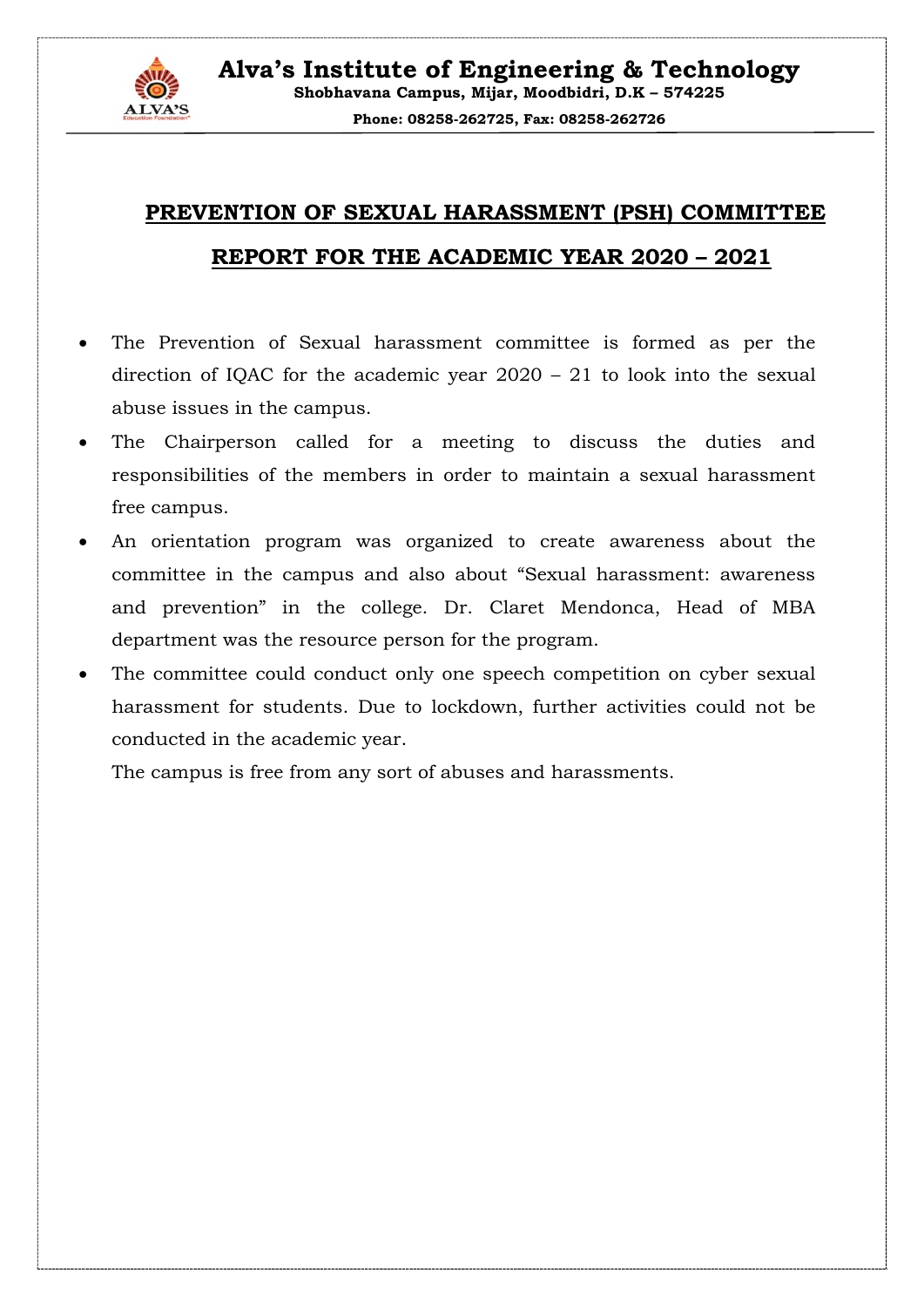

## PREVENTION OF SEXUAL HARASSMENT (PSH) COMMITTEE REPORT FOR THE ACADEMIC YEAR 2020 – 2021

- The Prevention of Sexual harassment committee is formed as per the direction of IQAC for the academic year 2020 – 21 to look into the sexual abuse issues in the campus.
- The Chairperson called for a meeting to discuss the duties and responsibilities of the members in order to maintain a sexual harassment free campus.
- An orientation program was organized to create awareness about the committee in the campus and also about "Sexual harassment: awareness and prevention" in the college. Dr. Claret Mendonca, Head of MBA department was the resource person for the program.
- The committee could conduct only one speech competition on cyber sexual harassment for students. Due to lockdown, further activities could not be conducted in the academic year.

The campus is free from any sort of abuses and harassments.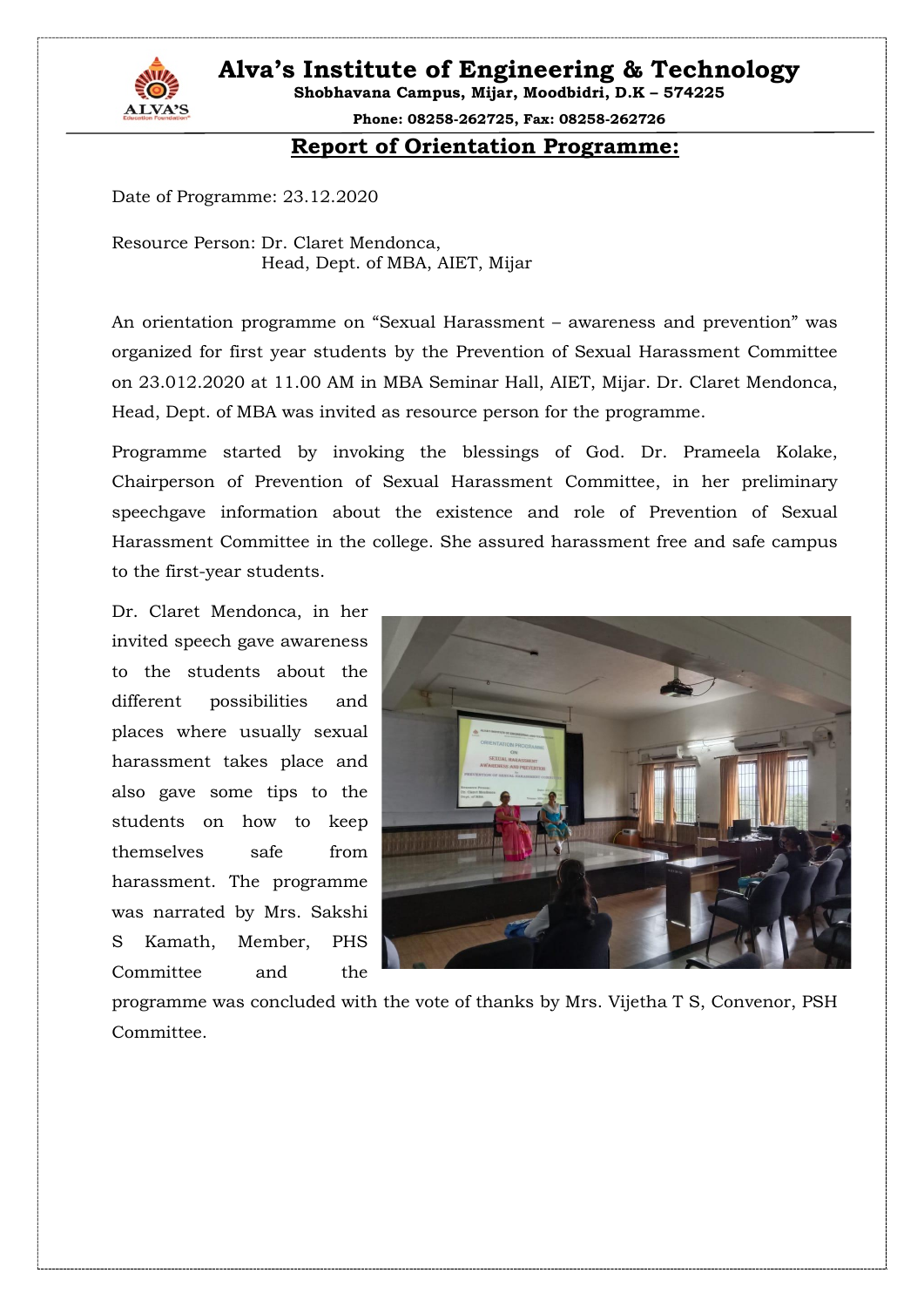Alva's Institute of Engineering & Technology



Shobhavana Campus, Mijar, Moodbidri, D.K – 574225

Phone: 08258-262725, Fax: 08258-262726

#### Report of Orientation Programme:

Date of Programme: 23.12.2020

Resource Person: Dr. Claret Mendonca, Head, Dept. of MBA, AIET, Mijar

An orientation programme on "Sexual Harassment – awareness and prevention" was organized for first year students by the Prevention of Sexual Harassment Committee on 23.012.2020 at 11.00 AM in MBA Seminar Hall, AIET, Mijar. Dr. Claret Mendonca, Head, Dept. of MBA was invited as resource person for the programme.

Programme started by invoking the blessings of God. Dr. Prameela Kolake, Chairperson of Prevention of Sexual Harassment Committee, in her preliminary speechgave information about the existence and role of Prevention of Sexual Harassment Committee in the college. She assured harassment free and safe campus to the first-year students.

Dr. Claret Mendonca, in her invited speech gave awareness to the students about the different possibilities and places where usually sexual harassment takes place and also gave some tips to the students on how to keep themselves safe from harassment. The programme was narrated by Mrs. Sakshi S Kamath, Member, PHS Committee and the



programme was concluded with the vote of thanks by Mrs. Vijetha T S, Convenor, PSH Committee.